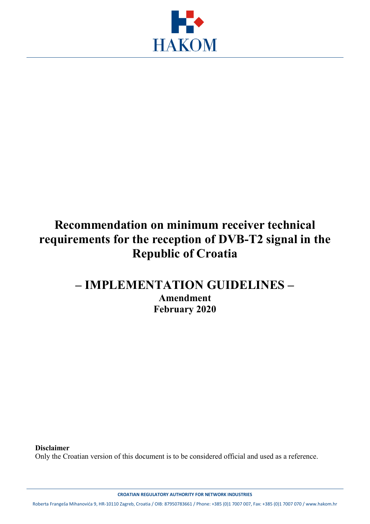

## **Recommendation on minimum receiver technical requirements for the reception of DVB-T2 signal in the Republic of Croatia**

## **– IMPLEMENTATION GUIDELINES – Amendment February 2020**

**Disclaimer**

Only the Croatian version of this document is to be considered official and used as a reference.

**CROATIAN REGULATORY AUTHORITY FOR NETWORK INDUSTRIES**

Roberta Frangeša Mihanovića 9, HR-10110 Zagreb, Croatia / OIB: 87950783661 / Phone: +385 (0)1 7007 007, Fax: +385 (0)1 7007 070 / www.hakom.hr